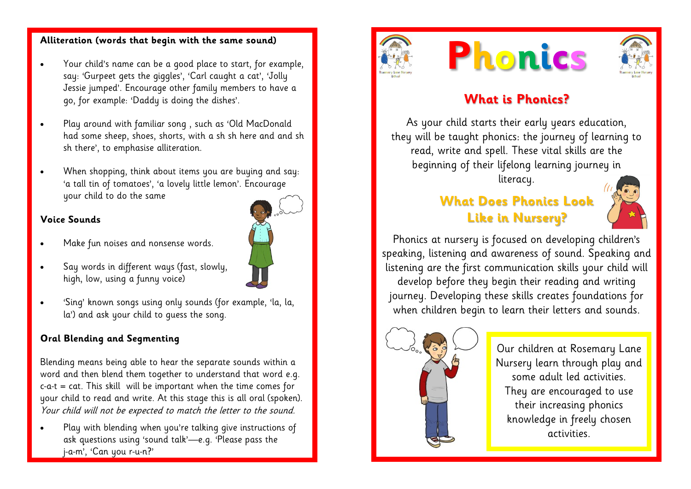#### **Alliteration (words that begin with the same sound)**

- Your child's name can be a good place to start, for example, say: 'Gurpeet gets the giggles', 'Carl caught a cat', 'Jolly Jessie jumped'. Encourage other family members to have a go, for example: 'Daddy is doing the dishes'.
- Play around with familiar song , such as 'Old MacDonald had some sheep, shoes, shorts, with a sh sh here and and sh sh there', to emphasise alliteration.
- When shopping, think about items you are buying and say: 'a tall tin of tomatoes', 'a lovely little lemon'. Encourage your child to do the same

#### **Voice Sounds**

- Make fun noises and nonsense words.
- Say words in different ways (fast, slowly, high, low, using a funny voice)
- 'Sing' known songs using only sounds (for example, 'la, la, la') and ask your child to guess the song.

### **Oral Blending and Segmenting**

Blending means being able to hear the separate sounds within a word and then blend them together to understand that word e.g.  $c-a-t = cat$ . This skill will be important when the time comes for your child to read and write. At this stage this is all oral (spoken). Your child will not be expected to match the letter to the sound.

Play with blending when you're talking give instructions of ask questions using 'sound talk'—e.g. 'Please pass the j-a-m', 'Can you r-u-n?'







## **What is Phonics?**

As your child starts their early years education, they will be taught phonics: the journey of learning to read, write and spell. These vital skills are the beginning of their lifelong learning journey in literacy.

# **What Does Phonics Look Like in Nursery?**



Phonics at nursery is focused on developing children's speaking, listening and awareness of sound. Speaking and listening are the first communication skills your child will develop before they begin their reading and writing journey. Developing these skills creates foundations for when children begin to learn their letters and sounds.



Our children at Rosemary Lane Nursery learn through play and some adult led activities. They are encouraged to use their increasing phonics knowledge in freely chosen activities.